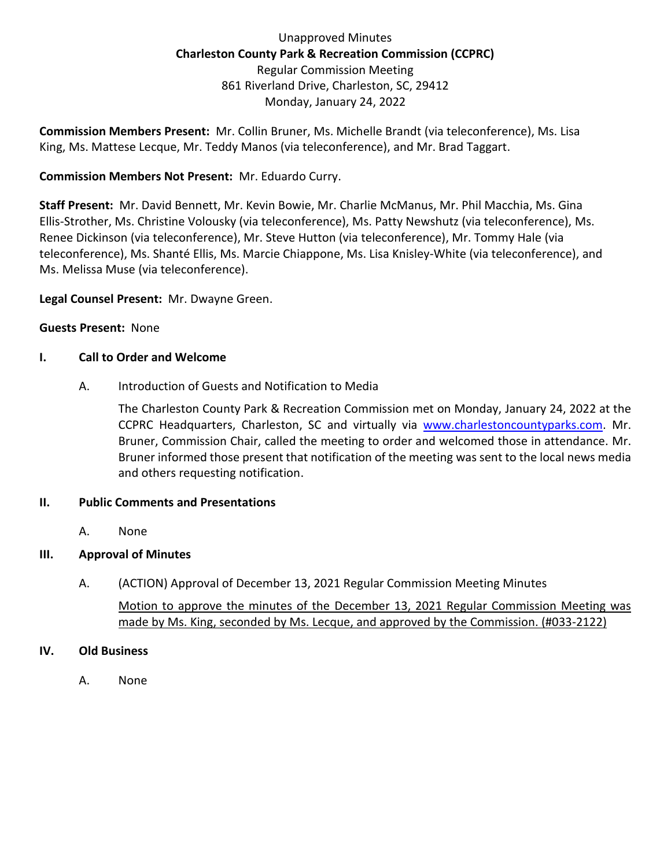Unapproved Minutes **Charleston County Park & Recreation Commission (CCPRC)** Regular Commission Meeting 861 Riverland Drive, Charleston, SC, 29412 Monday, January 24, 2022

**Commission Members Present:** Mr. Collin Bruner, Ms. Michelle Brandt (via teleconference), Ms. Lisa King, Ms. Mattese Lecque, Mr. Teddy Manos (via teleconference), and Mr. Brad Taggart.

## **Commission Members Not Present:** Mr. Eduardo Curry.

**Staff Present:** Mr. David Bennett, Mr. Kevin Bowie, Mr. Charlie McManus, Mr. Phil Macchia, Ms. Gina Ellis-Strother, Ms. Christine Volousky (via teleconference), Ms. Patty Newshutz (via teleconference), Ms. Renee Dickinson (via teleconference), Mr. Steve Hutton (via teleconference), Mr. Tommy Hale (via teleconference), Ms. Shanté Ellis, Ms. Marcie Chiappone, Ms. Lisa Knisley-White (via teleconference), and Ms. Melissa Muse (via teleconference).

**Legal Counsel Present:** Mr. Dwayne Green.

### **Guests Present:** None

### **I. Call to Order and Welcome**

A. Introduction of Guests and Notification to Media

The Charleston County Park & Recreation Commission met on Monday, January 24, 2022 at the CCPRC Headquarters, Charleston, SC and virtually via [www.charlestoncountyparks.com.](http://www.charlestoncountyparks.com/) Mr. Bruner, Commission Chair, called the meeting to order and welcomed those in attendance. Mr. Bruner informed those present that notification of the meeting was sent to the local news media and others requesting notification.

### **II. Public Comments and Presentations**

A. None

## **III. Approval of Minutes**

A. (ACTION) Approval of December 13, 2021 Regular Commission Meeting Minutes Motion to approve the minutes of the December 13, 2021 Regular Commission Meeting was made by Ms. King, seconded by Ms. Lecque, and approved by the Commission. (#033-2122)

### **IV. Old Business**

A. None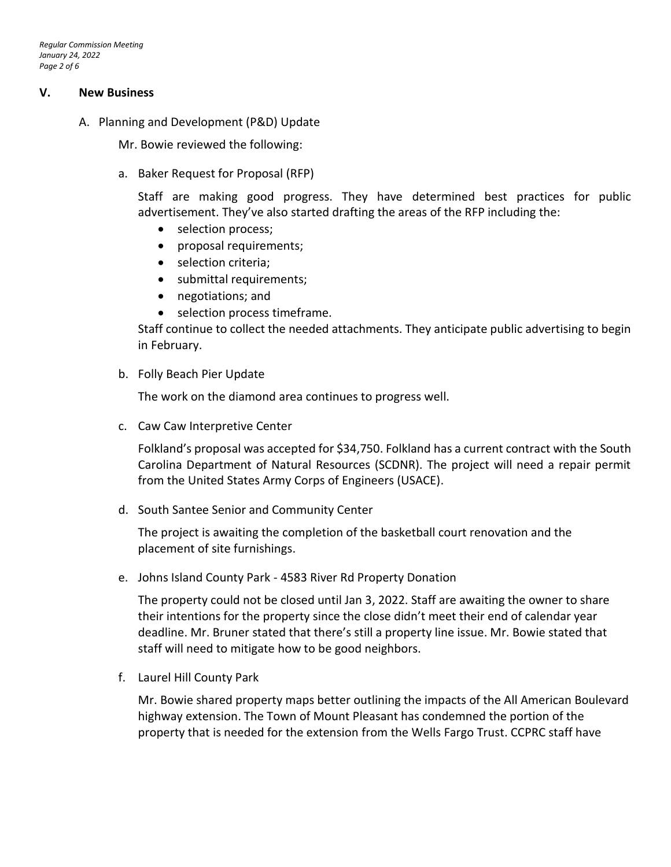#### **V. New Business**

A. Planning and Development (P&D) Update

Mr. Bowie reviewed the following:

a. Baker Request for Proposal (RFP)

Staff are making good progress. They have determined best practices for public advertisement. They've also started drafting the areas of the RFP including the:

- selection process;
- proposal requirements;
- selection criteria;
- submittal requirements;
- negotiations; and
- selection process timeframe.

Staff continue to collect the needed attachments. They anticipate public advertising to begin in February.

b. Folly Beach Pier Update

The work on the diamond area continues to progress well.

c. Caw Caw Interpretive Center

Folkland's proposal was accepted for \$34,750. Folkland has a current contract with the South Carolina Department of Natural Resources (SCDNR). The project will need a repair permit from the United States Army Corps of Engineers (USACE).

d. South Santee Senior and Community Center

The project is awaiting the completion of the basketball court renovation and the placement of site furnishings.

e. Johns Island County Park - 4583 River Rd Property Donation

The property could not be closed until Jan 3, 2022. Staff are awaiting the owner to share their intentions for the property since the close didn't meet their end of calendar year deadline. Mr. Bruner stated that there's still a property line issue. Mr. Bowie stated that staff will need to mitigate how to be good neighbors.

f. Laurel Hill County Park

Mr. Bowie shared property maps better outlining the impacts of the All American Boulevard highway extension. The Town of Mount Pleasant has condemned the portion of the property that is needed for the extension from the Wells Fargo Trust. CCPRC staff have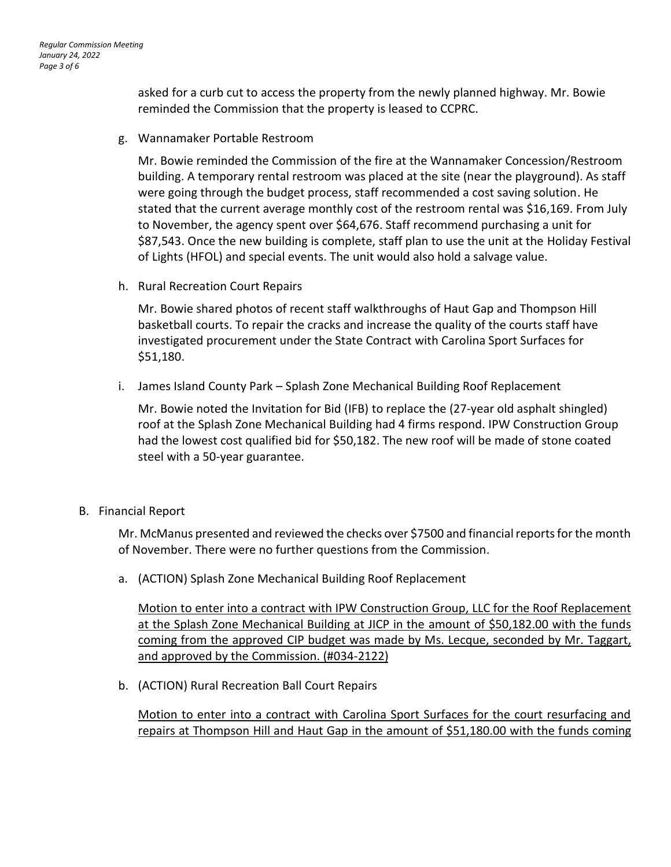asked for a curb cut to access the property from the newly planned highway. Mr. Bowie reminded the Commission that the property is leased to CCPRC.

g. Wannamaker Portable Restroom

Mr. Bowie reminded the Commission of the fire at the Wannamaker Concession/Restroom building. A temporary rental restroom was placed at the site (near the playground). As staff were going through the budget process, staff recommended a cost saving solution. He stated that the current average monthly cost of the restroom rental was \$16,169. From July to November, the agency spent over \$64,676. Staff recommend purchasing a unit for \$87,543. Once the new building is complete, staff plan to use the unit at the Holiday Festival of Lights (HFOL) and special events. The unit would also hold a salvage value.

h. Rural Recreation Court Repairs

Mr. Bowie shared photos of recent staff walkthroughs of Haut Gap and Thompson Hill basketball courts. To repair the cracks and increase the quality of the courts staff have investigated procurement under the State Contract with Carolina Sport Surfaces for \$51,180.

i. James Island County Park – Splash Zone Mechanical Building Roof Replacement

Mr. Bowie noted the Invitation for Bid (IFB) to replace the (27-year old asphalt shingled) roof at the Splash Zone Mechanical Building had 4 firms respond. IPW Construction Group had the lowest cost qualified bid for \$50,182. The new roof will be made of stone coated steel with a 50-year guarantee.

B. Financial Report

Mr. McManus presented and reviewed the checks over \$7500 and financial reports for the month of November. There were no further questions from the Commission.

a. (ACTION) Splash Zone Mechanical Building Roof Replacement

Motion to enter into a contract with IPW Construction Group, LLC for the Roof Replacement at the Splash Zone Mechanical Building at JICP in the amount of \$50,182.00 with the funds coming from the approved CIP budget was made by Ms. Lecque, seconded by Mr. Taggart, and approved by the Commission. (#034-2122)

b. (ACTION) Rural Recreation Ball Court Repairs

Motion to enter into a contract with Carolina Sport Surfaces for the court resurfacing and repairs at Thompson Hill and Haut Gap in the amount of \$51,180.00 with the funds coming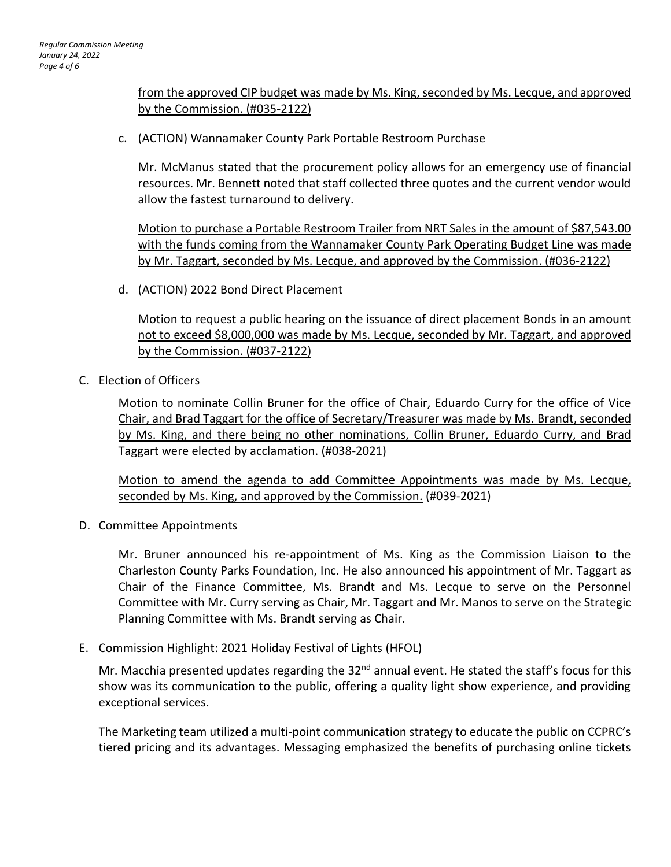## from the approved CIP budget was made by Ms. King, seconded by Ms. Lecque, and approved by the Commission. (#035-2122)

c. (ACTION) Wannamaker County Park Portable Restroom Purchase

Mr. McManus stated that the procurement policy allows for an emergency use of financial resources. Mr. Bennett noted that staff collected three quotes and the current vendor would allow the fastest turnaround to delivery.

Motion to purchase a Portable Restroom Trailer from NRT Sales in the amount of \$87,543.00 with the funds coming from the Wannamaker County Park Operating Budget Line was made by Mr. Taggart, seconded by Ms. Lecque, and approved by the Commission. (#036-2122)

d. (ACTION) 2022 Bond Direct Placement

Motion to request a public hearing on the issuance of direct placement Bonds in an amount not to exceed \$8,000,000 was made by Ms. Lecque, seconded by Mr. Taggart, and approved by the Commission. (#037-2122)

C. Election of Officers

Motion to nominate Collin Bruner for the office of Chair, Eduardo Curry for the office of Vice Chair, and Brad Taggart for the office of Secretary/Treasurer was made by Ms. Brandt, seconded by Ms. King, and there being no other nominations, Collin Bruner, Eduardo Curry, and Brad Taggart were elected by acclamation. (#038-2021)

Motion to amend the agenda to add Committee Appointments was made by Ms. Lecque, seconded by Ms. King, and approved by the Commission. (#039-2021)

D. Committee Appointments

Mr. Bruner announced his re-appointment of Ms. King as the Commission Liaison to the Charleston County Parks Foundation, Inc. He also announced his appointment of Mr. Taggart as Chair of the Finance Committee, Ms. Brandt and Ms. Lecque to serve on the Personnel Committee with Mr. Curry serving as Chair, Mr. Taggart and Mr. Manos to serve on the Strategic Planning Committee with Ms. Brandt serving as Chair.

E. Commission Highlight: 2021 Holiday Festival of Lights (HFOL)

Mr. Macchia presented updates regarding the 32<sup>nd</sup> annual event. He stated the staff's focus for this show was its communication to the public, offering a quality light show experience, and providing exceptional services.

The Marketing team utilized a multi-point communication strategy to educate the public on CCPRC's tiered pricing and its advantages. Messaging emphasized the benefits of purchasing online tickets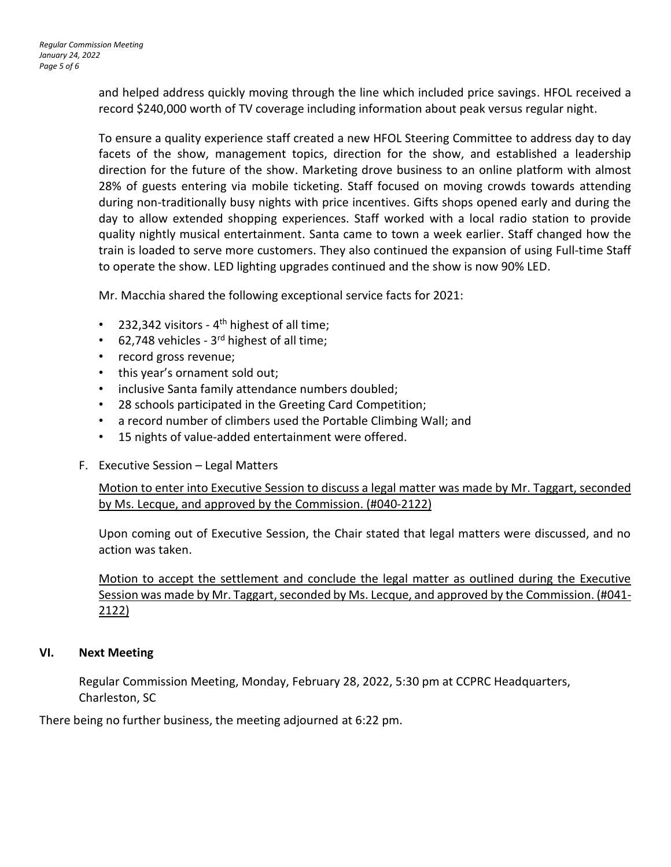and helped address quickly moving through the line which included price savings. HFOL received a record \$240,000 worth of TV coverage including information about peak versus regular night.

To ensure a quality experience staff created a new HFOL Steering Committee to address day to day facets of the show, management topics, direction for the show, and established a leadership direction for the future of the show. Marketing drove business to an online platform with almost 28% of guests entering via mobile ticketing. Staff focused on moving crowds towards attending during non-traditionally busy nights with price incentives. Gifts shops opened early and during the day to allow extended shopping experiences. Staff worked with a local radio station to provide quality nightly musical entertainment. Santa came to town a week earlier. Staff changed how the train is loaded to serve more customers. They also continued the expansion of using Full-time Staff to operate the show. LED lighting upgrades continued and the show is now 90% LED.

Mr. Macchia shared the following exceptional service facts for 2021:

- 232,342 visitors  $4<sup>th</sup>$  highest of all time;
- 62,748 vehicles 3<sup>rd</sup> highest of all time;
- record gross revenue;
- this year's ornament sold out;
- inclusive Santa family attendance numbers doubled;
- 28 schools participated in the Greeting Card Competition;
- a record number of climbers used the Portable Climbing Wall; and
- 15 nights of value-added entertainment were offered.
- F. Executive Session Legal Matters

Motion to enter into Executive Session to discuss a legal matter was made by Mr. Taggart, seconded by Ms. Lecque, and approved by the Commission. (#040-2122)

Upon coming out of Executive Session, the Chair stated that legal matters were discussed, and no action was taken.

Motion to accept the settlement and conclude the legal matter as outlined during the Executive Session was made by Mr. Taggart, seconded by Ms. Lecque, and approved by the Commission. (#041-2122)

### **VI. Next Meeting**

Regular Commission Meeting, Monday, February 28, 2022, 5:30 pm at CCPRC Headquarters, Charleston, SC

There being no further business, the meeting adjourned at 6:22 pm.